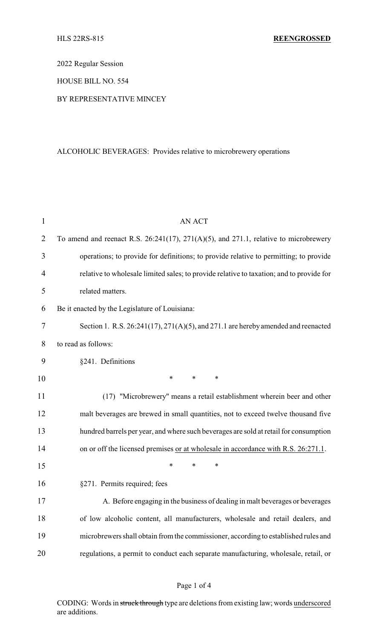2022 Regular Session

HOUSE BILL NO. 554

BY REPRESENTATIVE MINCEY

## ALCOHOLIC BEVERAGES: Provides relative to microbrewery operations

| $\mathbf{1}$   | <b>AN ACT</b>                                                                                 |  |
|----------------|-----------------------------------------------------------------------------------------------|--|
| $\overline{2}$ | To amend and reenact R.S. $26:241(17)$ , $271(A)(5)$ , and $271.1$ , relative to microbrewery |  |
| 3              | operations; to provide for definitions; to provide relative to permitting; to provide         |  |
| 4              | relative to wholesale limited sales; to provide relative to taxation; and to provide for      |  |
| 5              | related matters.                                                                              |  |
| 6              | Be it enacted by the Legislature of Louisiana:                                                |  |
| 7              | Section 1. R.S. $26:241(17), 271(A)(5)$ , and $271.1$ are hereby amended and reenacted        |  |
| 8              | to read as follows:                                                                           |  |
| 9              | §241. Definitions                                                                             |  |
| 10             | $\ast$<br>∗<br>$\ast$                                                                         |  |
| 11             | (17) "Microbrewery" means a retail establishment wherein beer and other                       |  |
| 12             | malt beverages are brewed in small quantities, not to exceed twelve thousand five             |  |
| 13             | hundred barrels per year, and where such beverages are sold at retail for consumption         |  |
| 14             | on or off the licensed premises or at wholesale in accordance with R.S. 26:271.1.             |  |
| 15             | $\ast$<br>*<br>*                                                                              |  |
| 16             | §271. Permits required; fees                                                                  |  |
| 17             | A. Before engaging in the business of dealing in malt beverages or beverages                  |  |
| 18             | of low alcoholic content, all manufacturers, wholesale and retail dealers, and                |  |
| 19             | microbrewers shall obtain from the commissioner, according to established rules and           |  |
| 20             | regulations, a permit to conduct each separate manufacturing, wholesale, retail, or           |  |

CODING: Words in struck through type are deletions from existing law; words underscored are additions.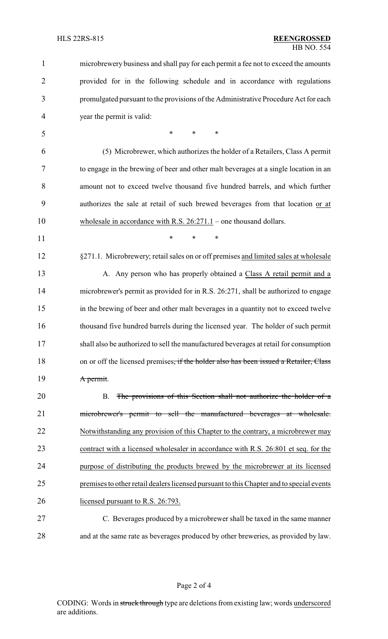| $\mathbf{1}$   | microbrewery business and shall pay for each permit a fee not to exceed the amounts               |
|----------------|---------------------------------------------------------------------------------------------------|
| $\overline{2}$ | provided for in the following schedule and in accordance with regulations                         |
| 3              | promulgated pursuant to the provisions of the Administrative Procedure Act for each               |
| $\overline{4}$ | year the permit is valid:                                                                         |
| 5              | $\ast$<br>∗<br>∗                                                                                  |
| 6              | (5) Microbrewer, which authorizes the holder of a Retailers, Class A permit                       |
| 7              | to engage in the brewing of beer and other malt beverages at a single location in an              |
| 8              | amount not to exceed twelve thousand five hundred barrels, and which further                      |
| 9              | authorizes the sale at retail of such brewed beverages from that location or at                   |
| 10             | wholesale in accordance with R.S. $26:271.1$ – one thousand dollars.                              |
| 11             | $\ast$<br>$\ast$<br>$\ast$                                                                        |
| 12             | §271.1. Microbrewery; retail sales on or off premises and limited sales at wholesale              |
| 13             | A. Any person who has properly obtained a Class A retail permit and a                             |
| 14             | microbrewer's permit as provided for in R.S. 26:271, shall be authorized to engage                |
| 15             | in the brewing of beer and other malt beverages in a quantity not to exceed twelve                |
| 16             | thousand five hundred barrels during the licensed year. The holder of such permit                 |
| 17             | shall also be authorized to sell the manufactured beverages at retail for consumption             |
| 18             | on or off the licensed premises <del>, if the holder also has been issued a Retailer, Class</del> |
| 19             | A permit.                                                                                         |
| 20             | The provisions of this Section shall not authorize the holder of a<br><b>B.</b>                   |
| 21             | microbrewer's permit to sell the manufactured beverages at wholesale.                             |
| 22             | Notwithstanding any provision of this Chapter to the contrary, a microbrewer may                  |
| 23             | contract with a licensed wholesaler in accordance with R.S. 26:801 et seq. for the                |
| 24             | purpose of distributing the products brewed by the microbrewer at its licensed                    |
| 25             | premises to other retail dealers licensed pursuant to this Chapter and to special events          |
| 26             | licensed pursuant to R.S. 26:793.                                                                 |
| 27             | C. Beverages produced by a microbrewer shall be taxed in the same manner                          |
| 28             | and at the same rate as beverages produced by other breweries, as provided by law.                |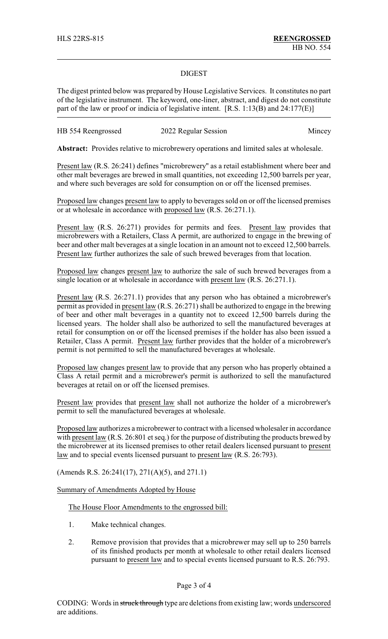## DIGEST

The digest printed below was prepared by House Legislative Services. It constitutes no part of the legislative instrument. The keyword, one-liner, abstract, and digest do not constitute part of the law or proof or indicia of legislative intent. [R.S. 1:13(B) and 24:177(E)]

| HB 554 Reengrossed | 2022 Regular Session | Mincey |
|--------------------|----------------------|--------|
|--------------------|----------------------|--------|

**Abstract:** Provides relative to microbrewery operations and limited sales at wholesale.

Present law (R.S. 26:241) defines "microbrewery" as a retail establishment where beer and other malt beverages are brewed in small quantities, not exceeding 12,500 barrels per year, and where such beverages are sold for consumption on or off the licensed premises.

Proposed law changes present law to apply to beverages sold on or off the licensed premises or at wholesale in accordance with proposed law (R.S. 26:271.1).

Present law (R.S. 26:271) provides for permits and fees. Present law provides that microbrewers with a Retailers, Class A permit, are authorized to engage in the brewing of beer and other malt beverages at a single location in an amount not to exceed 12,500 barrels. Present law further authorizes the sale of such brewed beverages from that location.

Proposed law changes present law to authorize the sale of such brewed beverages from a single location or at wholesale in accordance with present law (R.S. 26:271.1).

Present law (R.S. 26:271.1) provides that any person who has obtained a microbrewer's permit as provided in present law (R.S. 26:271) shall be authorized to engage in the brewing of beer and other malt beverages in a quantity not to exceed 12,500 barrels during the licensed years. The holder shall also be authorized to sell the manufactured beverages at retail for consumption on or off the licensed premises if the holder has also been issued a Retailer, Class A permit. Present law further provides that the holder of a microbrewer's permit is not permitted to sell the manufactured beverages at wholesale.

Proposed law changes present law to provide that any person who has properly obtained a Class A retail permit and a microbrewer's permit is authorized to sell the manufactured beverages at retail on or off the licensed premises.

Present law provides that present law shall not authorize the holder of a microbrewer's permit to sell the manufactured beverages at wholesale.

Proposed law authorizes a microbrewer to contract with a licensed wholesaler in accordance with present law (R.S. 26:801 et seq.) for the purpose of distributing the products brewed by the microbrewer at its licensed premises to other retail dealers licensed pursuant to present law and to special events licensed pursuant to present law (R.S. 26:793).

(Amends R.S. 26:241(17), 271(A)(5), and 271.1)

Summary of Amendments Adopted by House

The House Floor Amendments to the engrossed bill:

- 1. Make technical changes.
- 2. Remove provision that provides that a microbrewer may sell up to 250 barrels of its finished products per month at wholesale to other retail dealers licensed pursuant to present law and to special events licensed pursuant to R.S. 26:793.

Page 3 of 4